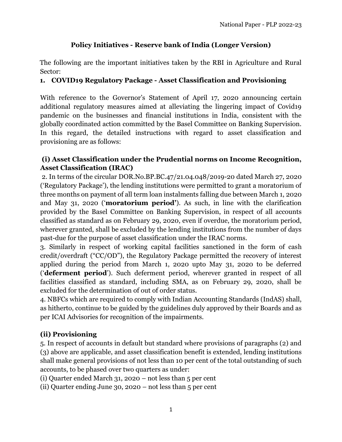# **Policy Initiatives - Reserve bank of India (Longer Version)**

The following are the important initiatives taken by the RBI in Agriculture and Rural Sector:

### **1. COVID19 Regulatory Package - Asset Classification and Provisioning**

With reference to the Governor's Statement of April 17, 2020 announcing certain additional regulatory measures aimed at alleviating the lingering impact of Covid19 pandemic on the businesses and financial institutions in India, consistent with the globally coordinated action committed by the Basel Committee on Banking Supervision. In this regard, the detailed instructions with regard to asset classification and provisioning are as follows:

### **(i) Asset Classification under the Prudential norms on Income Recognition, Asset Classification (IRAC)**

2. In terms of the circular DOR.No.BP.BC.47/21.04.048/2019-20 dated March 27, 2020 ('Regulatory Package'), the lending institutions were permitted to grant a moratorium of three months on payment of all term loan instalments falling due between March 1, 2020 and May 31, 2020 ('**moratorium period'**). As such, in line with the clarification provided by the Basel Committee on Banking Supervision, in respect of all accounts classified as standard as on February 29, 2020, even if overdue, the moratorium period, wherever granted, shall be excluded by the lending institutions from the number of days past-due for the purpose of asset classification under the IRAC norms.

3. Similarly in respect of working capital facilities sanctioned in the form of cash credit/overdraft ("CC/OD"), the Regulatory Package permitted the recovery of interest applied during the period from March 1, 2020 upto May 31, 2020 to be deferred ('**deferment period**'). Such deferment period, wherever granted in respect of all facilities classified as standard, including SMA, as on February 29, 2020, shall be excluded for the determination of out of order status.

4. NBFCs which are required to comply with Indian Accounting Standards (IndAS) shall, as hitherto, continue to be guided by the guidelines duly approved by their Boards and as per ICAI Advisories for recognition of the impairments.

## **(ii) Provisioning**

5. In respect of accounts in default but standard where provisions of paragraphs (2) and (3) above are applicable, and asset classification benefit is extended, lending institutions shall make general provisions of not less than 10 per cent of the total outstanding of such accounts, to be phased over two quarters as under:

(i) Quarter ended March 31,  $2020 - not$  less than 5 per cent

(ii) Quarter ending June 30, 2020 – not less than 5 per cent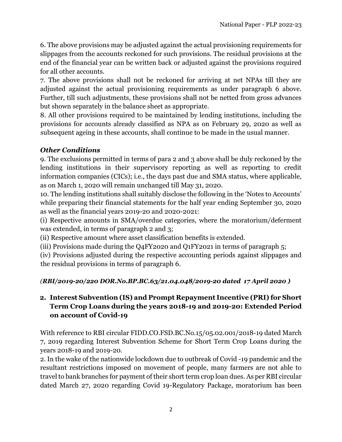6. The above provisions may be adjusted against the actual provisioning requirements for slippages from the accounts reckoned for such provisions. The residual provisions at the end of the financial year can be written back or adjusted against the provisions required for all other accounts.

7. The above provisions shall not be reckoned for arriving at net NPAs till they are adjusted against the actual provisioning requirements as under paragraph 6 above. Further, till such adjustments, these provisions shall not be netted from gross advances but shown separately in the balance sheet as appropriate.

8. All other provisions required to be maintained by lending institutions, including the provisions for accounts already classified as NPA as on February 29, 2020 as well as subsequent ageing in these accounts, shall continue to be made in the usual manner.

## *Other Conditions*

9. The exclusions permitted in terms of para 2 and 3 above shall be duly reckoned by the lending institutions in their supervisory reporting as well as reporting to credit information companies (CICs); i.e., the days past due and SMA status, where applicable, as on March 1, 2020 will remain unchanged till May 31, 2020.

10. The lending institutions shall suitably disclose the following in the 'Notes to Accounts' while preparing their financial statements for the half year ending September 30, 2020 as well as the financial years 2019-20 and 2020-2021:

(i) Respective amounts in SMA/overdue categories, where the moratorium/deferment was extended, in terms of paragraph 2 and 3;

(ii) Respective amount where asset classification benefits is extended.

(iii) Provisions made during the Q4FY2020 and Q1FY2021 in terms of paragraph 5;

(iv) Provisions adjusted during the respective accounting periods against slippages and the residual provisions in terms of paragraph 6.

## *(RBI/2019-20/220 DOR.No.BP.BC.63/21.04.048/2019-20 dated 17 April 2020 )*

# **2. Interest Subvention (IS) and Prompt Repayment Incentive (PRI) for Short Term Crop Loans during the years 2018-19 and 2019-20: Extended Period on account of Covid-19**

With reference to RBI circular FIDD.CO.FSD.BC.No.15/05.02.001/2018-19 dated March 7, 2019 regarding Interest Subvention Scheme for Short Term Crop Loans during the years 2018-19 and 2019-20.

2. In the wake of the nationwide lockdown due to outbreak of Covid -19 pandemic and the resultant restrictions imposed on movement of people, many farmers are not able to travel to bank branches for payment of their short term crop loan dues. As per RBI circular dated March 27, 2020 regarding Covid 19-Regulatory Package, moratorium has been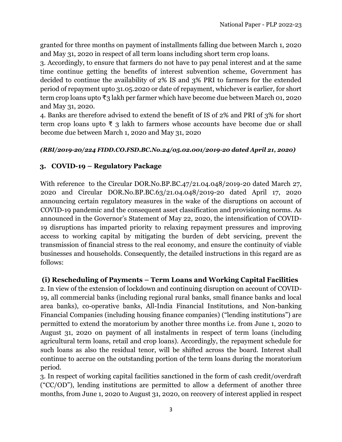granted for three months on payment of installments falling due between March 1, 2020 and May 31, 2020 in respect of all term loans including short term crop loans.

3. Accordingly, to ensure that farmers do not have to pay penal interest and at the same time continue getting the benefits of interest subvention scheme, Government has decided to continue the availability of 2% IS and 3% PRI to farmers for the extended period of repayment upto 31.05.2020 or date of repayment, whichever is earlier, for short term crop loans upto ₹3 lakh per farmer which have become due between March 01, 2020 and May 31, 2020.

4. Banks are therefore advised to extend the benefit of IS of 2% and PRI of 3% for short term crop loans upto  $\overline{\tau}$  3 lakh to farmers whose accounts have become due or shall become due between March 1, 2020 and May 31, 2020

#### *(RBI/2019-20/224 FIDD.CO.FSD.BC.No.24/05.02.001/2019-20 dated April 21, 2020)*

### **3. COVID-19 – Regulatory Package**

With reference to the Circular DOR.No.BP.BC.47/21.04.048/2019-20 dated March 27, 2020 and Circular DOR.No.BP.BC.63/21.04.048/2019-20 dated April 17, 2020 announcing certain regulatory measures in the wake of the disruptions on account of COVID-19 pandemic and the consequent asset classification and provisioning norms. As announced in the Governor's Statement of May 22, 2020, the intensification of COVID-19 disruptions has imparted priority to relaxing repayment pressures and improving access to working capital by mitigating the burden of debt servicing, prevent the transmission of financial stress to the real economy, and ensure the continuity of viable businesses and households. Consequently, the detailed instructions in this regard are as follows:

#### **(i) Rescheduling of Payments – Term Loans and Working Capital Facilities**

2. In view of the extension of lockdown and continuing disruption on account of COVID-19, all commercial banks (including regional rural banks, small finance banks and local area banks), co-operative banks, All-India Financial Institutions, and Non-banking Financial Companies (including housing finance companies) ("lending institutions") are permitted to extend the moratorium by another three months i.e. from June 1, 2020 to August 31, 2020 on payment of all instalments in respect of term loans (including agricultural term loans, retail and crop loans). Accordingly, the repayment schedule for such loans as also the residual tenor, will be shifted across the board. Interest shall continue to accrue on the outstanding portion of the term loans during the moratorium period.

3. In respect of working capital facilities sanctioned in the form of cash credit/overdraft  $({\rm ^{\circ}CC/OD}^{\circ})$ , lending institutions are permitted to allow a deferment of another three months, from June 1, 2020 to August 31, 2020, on recovery of interest applied in respect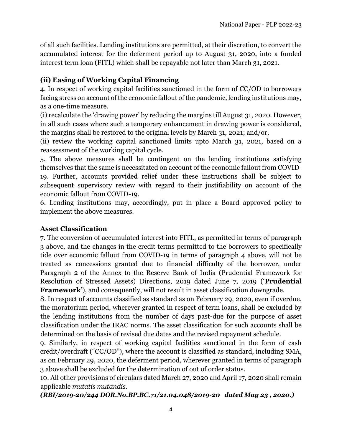of all such facilities. Lending institutions are permitted, at their discretion, to convert the accumulated interest for the deferment period up to August 31, 2020, into a funded interest term loan (FITL) which shall be repayable not later than March 31, 2021.

### **(ii) Easing of Working Capital Financing**

4. In respect of working capital facilities sanctioned in the form of CC/OD to borrowers facing stress on account of the economic fallout of the pandemic, lending institutions may, as a one-time measure,

(i) recalculate the 'drawing power' by reducing the margins till August 31, 2020. However, in all such cases where such a temporary enhancement in drawing power is considered, the margins shall be restored to the original levels by March 31, 2021; and/or,

(ii) review the working capital sanctioned limits upto March 31, 2021, based on a reassessment of the working capital cycle.

5. The above measures shall be contingent on the lending institutions satisfying themselves that the same is necessitated on account of the economic fallout from COVID-19. Further, accounts provided relief under these instructions shall be subject to subsequent supervisory review with regard to their justifiability on account of the economic fallout from COVID-19.

6. Lending institutions may, accordingly, put in place a Board approved policy to implement the above measures.

#### **Asset Classification**

7. The conversion of accumulated interest into FITL, as permitted in terms of paragraph 3 above, and the changes in the credit terms permitted to the borrowers to specifically tide over economic fallout from COVID-19 in terms of paragraph 4 above, will not be treated as concessions granted due to financial difficulty of the borrower, under Paragraph 2 of the Annex to the Reserve Bank of India (Prudential Framework for Resolution of Stressed Assets) Directions, 2019 dated June 7, 2019 ('**Prudential Framework'**), and consequently, will not result in asset classification downgrade.

8. In respect of accounts classified as standard as on February 29, 2020, even if overdue, the moratorium period, wherever granted in respect of term loans, shall be excluded by the lending institutions from the number of days past-due for the purpose of asset classification under the IRAC norms. The asset classification for such accounts shall be determined on the basis of revised due dates and the revised repayment schedule.

9. Similarly, in respect of working capital facilities sanctioned in the form of cash credit/overdraft ("CC/OD"), where the account is classified as standard, including SMA, as on February 29, 2020, the deferment period, wherever granted in terms of paragraph 3 above shall be excluded for the determination of out of order status.

10. All other provisions of circulars dated March 27, 2020 and April 17, 2020 shall remain applicable *mutatis mutandis.*

*(RBI/2019-20/244 DOR.No.BP.BC.71/21.04.048/2019-20 dated May 23 , 2020.)*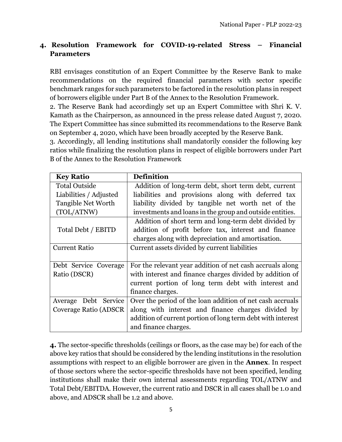# **4. Resolution Framework for COVID-19-related Stress – Financial Parameters**

RBI envisages constitution of an Expert Committee by the Reserve Bank to make recommendations on the required financial parameters with sector specific benchmark ranges for such parameters to be factored in the resolution plans in respect of borrowers eligible under Part B of the Annex to the Resolution Framework.

2. The Reserve Bank had accordingly set up an Expert Committee with Shri K. V. Kamath as the Chairperson, as announced in the press release dated August 7, 2020. The Expert Committee has since submitted its recommendations to the Reserve Bank on September 4, 2020, which have been broadly accepted by the Reserve Bank.

3. Accordingly, all lending institutions shall mandatorily consider the following key ratios while finalizing the resolution plans in respect of eligible borrowers under Part B of the Annex to the Resolution Framework

| <b>Key Ratio</b>          | <b>Definition</b>                                           |
|---------------------------|-------------------------------------------------------------|
| <b>Total Outside</b>      | Addition of long-term debt, short term debt, current        |
| Liabilities / Adjusted    | liabilities and provisions along with deferred tax          |
| <b>Tangible Net Worth</b> | liability divided by tangible net worth net of the          |
| (TOL/ATNW)                | investments and loans in the group and outside entities.    |
|                           | Addition of short term and long-term debt divided by        |
| Total Debt / EBITD        | addition of profit before tax, interest and finance         |
|                           | charges along with depreciation and amortisation.           |
| <b>Current Ratio</b>      | Current assets divided by current liabilities               |
|                           |                                                             |
| Debt Service Coverage     | For the relevant year addition of net cash accruals along   |
| Ratio (DSCR)              | with interest and finance charges divided by addition of    |
|                           | current portion of long term debt with interest and         |
|                           | finance charges.                                            |
| Debt Service<br>Average   | Over the period of the loan addition of net cash accruals   |
| Coverage Ratio (ADSCR)    | along with interest and finance charges divided by          |
|                           | addition of current portion of long term debt with interest |
|                           | and finance charges.                                        |

**4.** The sector-specific thresholds (ceilings or floors, as the case may be) for each of the above key ratios that should be considered by the lending institutions in the resolution assumptions with respect to an eligible borrower are given in the **Annex**. In respect of those sectors where the sector-specific thresholds have not been specified, lending institutions shall make their own internal assessments regarding TOL/ATNW and Total Debt/EBITDA. However, the current ratio and DSCR in all cases shall be 1.0 and above, and ADSCR shall be 1.2 and above.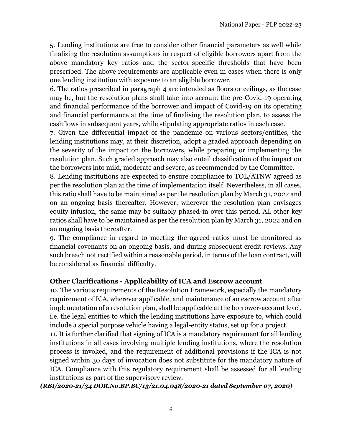5. Lending institutions are free to consider other financial parameters as well while finalizing the resolution assumptions in respect of eligible borrowers apart from the above mandatory key ratios and the sector-specific thresholds that have been prescribed. The above requirements are applicable even in cases when there is only one lending institution with exposure to an eligible borrower.

6. The ratios prescribed in paragraph 4 are intended as floors or ceilings, as the case may be, but the resolution plans shall take into account the pre-Covid-19 operating and financial performance of the borrower and impact of Covid-19 on its operating and financial performance at the time of finalising the resolution plan, to assess the cashflows in subsequent years, while stipulating appropriate ratios in each case.

7. Given the differential impact of the pandemic on various sectors/entities, the lending institutions may, at their discretion, adopt a graded approach depending on the severity of the impact on the borrowers, while preparing or implementing the resolution plan. Such graded approach may also entail classification of the impact on the borrowers into mild, moderate and severe, as recommended by the Committee.

8. Lending institutions are expected to ensure compliance to TOL/ATNW agreed as per the resolution plan at the time of implementation itself. Nevertheless, in all cases, this ratio shall have to be maintained as per the resolution plan by March 31, 2022 and on an ongoing basis thereafter. However, wherever the resolution plan envisages equity infusion, the same may be suitably phased-in over this period. All other key ratios shall have to be maintained as per the resolution plan by March 31, 2022 and on an ongoing basis thereafter.

9. The compliance in regard to meeting the agreed ratios must be monitored as financial covenants on an ongoing basis, and during subsequent credit reviews. Any such breach not rectified within a reasonable period, in terms of the loan contract, will be considered as financial difficulty.

#### **Other Clarifications - Applicability of ICA and Escrow account**

10. The various requirements of the Resolution Framework, especially the mandatory requirement of ICA, wherever applicable, and maintenance of an escrow account after implementation of a resolution plan, shall be applicable at the borrower-account level, i.e. the legal entities to which the lending institutions have exposure to, which could include a special purpose vehicle having a legal-entity status, set up for a project.

11. It is further clarified that signing of ICA is a mandatory requirement for all lending institutions in all cases involving multiple lending institutions, where the resolution process is invoked, and the requirement of additional provisions if the ICA is not signed within 30 days of invocation does not substitute for the mandatory nature of ICA. Compliance with this regulatory requirement shall be assessed for all lending institutions as part of the supervisory review.

*(RBI/2020-21/34 DOR.No.BP.BC/13/21.04.048/2020-21 dated September 07, 2020)*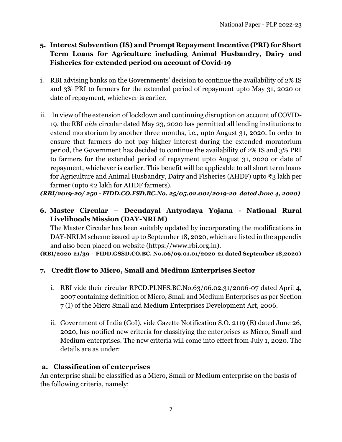# **5. Interest Subvention (IS) and Prompt Repayment Incentive (PRI) for Short Term Loans for Agriculture including Animal Husbandry, Dairy and Fisheries for extended period on account of Covid-19**

- i. RBI advising banks on the Governments' decision to continue the availability of 2% IS and 3% PRI to farmers for the extended period of repayment upto May 31, 2020 or date of repayment, whichever is earlier.
- ii. In view of the extension of lockdown and continuing disruption on account of COVID-19, the RBI *vide* circular dated May 23, 2020 has permitted all lending institutions to extend moratorium by another three months, i.e., upto August 31, 2020. In order to ensure that farmers do not pay higher interest during the extended moratorium period, the Government has decided to continue the availability of 2% IS and 3% PRI to farmers for the extended period of repayment upto August 31, 2020 or date of repayment, whichever is earlier. This benefit will be applicable to all short term loans for Agriculture and Animal Husbandry, Dairy and Fisheries (AHDF) upto ₹3 lakh per farmer (upto ₹2 lakh for AHDF farmers).

*(RBI/2019-20/ 250 - FIDD.CO.FSD.BC.No. 25/05.02.001/2019-20 dated June 4, 2020)*

**6. Master Circular – Deendayal Antyodaya Yojana - National Rural Livelihoods Mission (DAY-NRLM)** 

The Master Circular has been suitably updated by incorporating the modifications in DAY-NRLM scheme issued up to September 18, 2020, which are listed in the appendix and also been placed on website (https://www.rbi.org.in).

**(RBI/2020-21/39 - FIDD.GSSD.CO.BC. No.06/09.01.01/2020-21 dated September 18,2020)**

## **7. Credit flow to Micro, Small and Medium Enterprises Sector**

- i. RBI vide their circular RPCD.PLNFS.BC.No.63/06.02.31/2006-07 dated April 4, 2007 containing definition of Micro, Small and Medium Enterprises as per Section 7 (I) of the Micro Small and Medium Enterprises Development Act, 2006.
- ii. Government of India (GoI), vide Gazette Notification S.O. 2119 (E) dated June 26, 2020, has notified new criteria for classifying the enterprises as Micro, Small and Medium enterprises. The new criteria will come into effect from July 1, 2020. The details are as under:

## **a. Classification of enterprises**

An enterprise shall be classified as a Micro, Small or Medium enterprise on the basis of the following criteria, namely: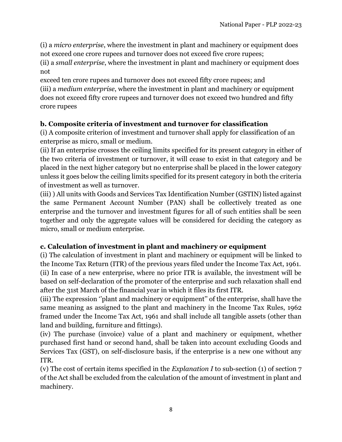(i) a *micro enterprise*, where the investment in plant and machinery or equipment does not exceed one crore rupees and turnover does not exceed five crore rupees;

(ii) a *small enterprise*, where the investment in plant and machinery or equipment does not

exceed ten crore rupees and turnover does not exceed fifty crore rupees; and (iii) a *medium enterprise*, where the investment in plant and machinery or equipment does not exceed fifty crore rupees and turnover does not exceed two hundred and fifty crore rupees

# **b. Composite criteria of investment and turnover for classification**

(i) A composite criterion of investment and turnover shall apply for classification of an enterprise as micro, small or medium.

(ii) If an enterprise crosses the ceiling limits specified for its present category in either of the two criteria of investment or turnover, it will cease to exist in that category and be placed in the next higher category but no enterprise shall be placed in the lower category unless it goes below the ceiling limits specified for its present category in both the criteria of investment as well as turnover.

(iii) ) All units with Goods and Services Tax Identification Number (GSTIN) listed against the same Permanent Account Number (PAN) shall be collectively treated as one enterprise and the turnover and investment figures for all of such entities shall be seen together and only the aggregate values will be considered for deciding the category as micro, small or medium enterprise.

## **c. Calculation of investment in plant and machinery or equipment**

(i) The calculation of investment in plant and machinery or equipment will be linked to the Income Tax Return (ITR) of the previous years filed under the Income Tax Act, 1961. (ii) In case of a new enterprise, where no prior ITR is available, the investment will be based on self-declaration of the promoter of the enterprise and such relaxation shall end after the 31st March of the financial year in which it files its first ITR.

(iii) The expression ''plant and machinery or equipment'' of the enterprise, shall have the same meaning as assigned to the plant and machinery in the Income Tax Rules, 1962 framed under the Income Tax Act, 1961 and shall include all tangible assets (other than land and building, furniture and fittings).

(iv) The purchase (invoice) value of a plant and machinery or equipment, whether purchased first hand or second hand, shall be taken into account excluding Goods and Services Tax (GST), on self-disclosure basis, if the enterprise is a new one without any ITR.

(v) The cost of certain items specified in the *Explanation I* to sub-section (1) of section 7 of the Act shall be excluded from the calculation of the amount of investment in plant and machinery.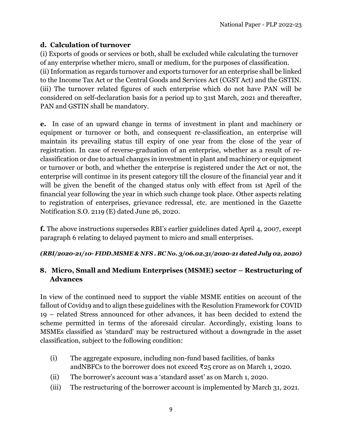# **d. Calculation of turnover**

(i) Exports of goods or services or both, shall be excluded while calculating the turnover of any enterprise whether micro, small or medium, for the purposes of classification. (ii) Information as regards turnover and exports turnover for an enterprise shall be linked to the Income Tax Act or the Central Goods and Services Act (CGST Act) and the GSTIN. (iii) The turnover related figures of such enterprise which do not have PAN will be considered on self-declaration basis for a period up to 31st March, 2021 and thereafter, PAN and GSTIN shall be mandatory.

**e.** In case of an upward change in terms of investment in plant and machinery or equipment or turnover or both, and consequent re-classification, an enterprise will maintain its prevailing status till expiry of one year from the close of the year of registration. In case of reverse-graduation of an enterprise, whether as a result of reclassification or due to actual changes in investment in plant and machinery or equipment or turnover or both, and whether the enterprise is registered under the Act or not, the enterprise will continue in its present category till the closure of the financial year and it will be given the benefit of the changed status only with effect from 1st April of the financial year following the year in which such change took place. Other aspects relating to registration of enterprises, grievance redressal, etc. are mentioned in the Gazette Notification S.O. 2119 (E) dated June 26, 2020.

**f.** The above instructions supersedes RBI's earlier guidelines dated April 4, 2007, except paragraph 6 relating to delayed payment to micro and small enterprises.

*(RBI/2020-21/10- FIDD.MSME & NFS . BC No. 3/06.02.31/2020-21 dated July 02, 2020)*

## **8.** Micro, Small and Medium Enterprises (MSME) sector – Restructuring of **Advances**

In view of the continued need to support the viable MSME entities on account of the fallout of Covid19 and to align these guidelines with the Resolution Framework for COVID 19 – related Stress announced for other advances, it has been decided to extend the scheme permitted in terms of the aforesaid circular. Accordingly, existing loans to MSMEs classified as 'standard' may be restructured without a downgrade in the asset classification, subject to the following condition:

- (i) The aggregate exposure, including non-fund based facilities, of banks andNBFCs to the borrower does not exceed ₹25 crore as on March 1, 2020.
- (ii) The borrower's account was a 'standard asset' as on March 1, 2020.
- (iii) The restructuring of the borrower account is implemented by March 31, 2021.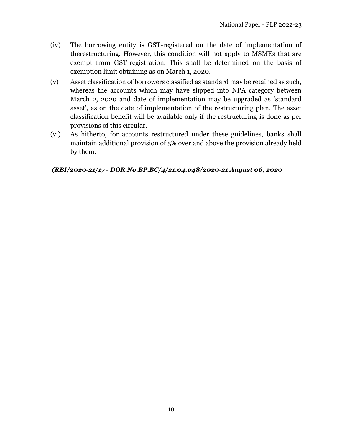- (iv) The borrowing entity is GST-registered on the date of implementation of therestructuring. However, this condition will not apply to MSMEs that are exempt from GST-registration. This shall be determined on the basis of exemption limit obtaining as on March 1, 2020.
- (v) Asset classification of borrowers classified as standard may be retained as such, whereas the accounts which may have slipped into NPA category between March 2, 2020 and date of implementation may be upgraded as 'standard asset', as on the date of implementation of the restructuring plan. The asset classification benefit will be available only if the restructuring is done as per provisions of this circular.
- (vi) As hitherto, for accounts restructured under these guidelines, banks shall maintain additional provision of 5% over and above the provision already held by them.

#### *(RBI/2020-21/17 - DOR.No.BP.BC/4/21.04.048/2020-21 August 06, 2020*